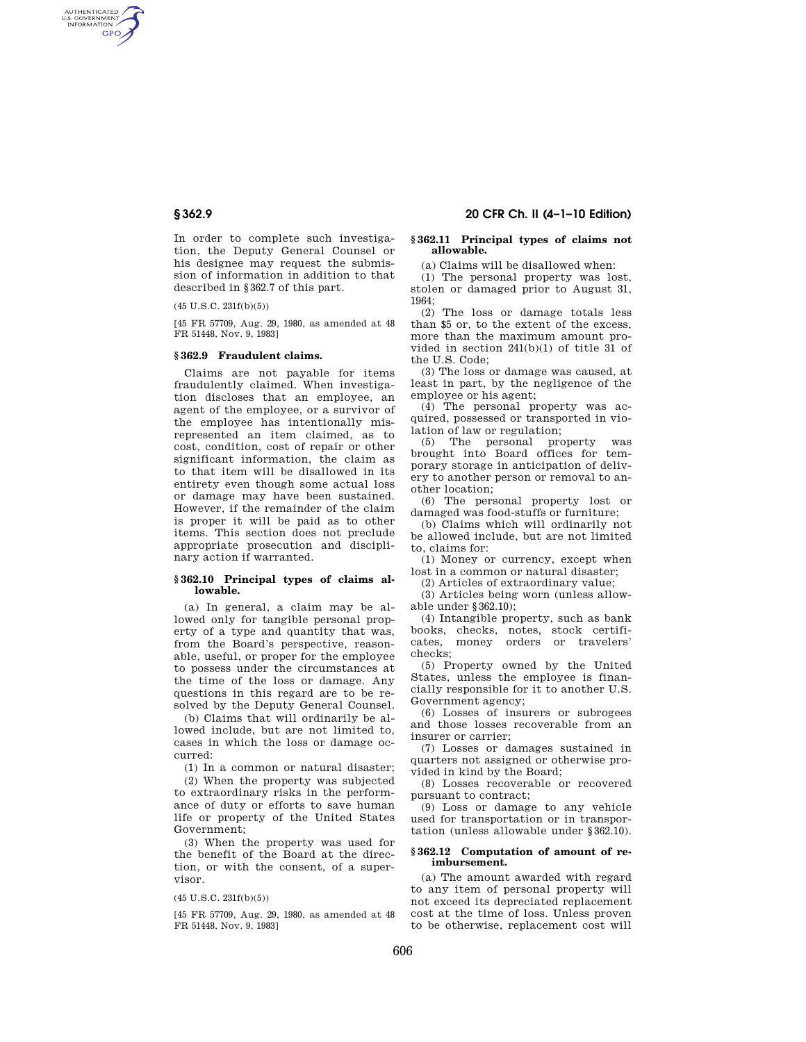AUTHENTICATED<br>U.S. GOVERNMENT<br>INFORMATION **GPO** 

> In order to complete such investigation, the Deputy General Counsel or his designee may request the submission of information in addition to that described in §362.7 of this part.

(45 U.S.C. 231f(b)(5))

[45 FR 57709, Aug. 29, 1980, as amended at 48 FR 51448, Nov. 9, 1983]

#### **§ 362.9 Fraudulent claims.**

Claims are not payable for items fraudulently claimed. When investigation discloses that an employee, an agent of the employee, or a survivor of the employee has intentionally misrepresented an item claimed, as to cost, condition, cost of repair or other significant information, the claim as to that item will be disallowed in its entirety even though some actual loss or damage may have been sustained. However, if the remainder of the claim is proper it will be paid as to other items. This section does not preclude appropriate prosecution and disciplinary action if warranted.

#### **§ 362.10 Principal types of claims allowable.**

(a) In general, a claim may be allowed only for tangible personal property of a type and quantity that was, from the Board's perspective, reasonable, useful, or proper for the employee to possess under the circumstances at the time of the loss or damage. Any questions in this regard are to be resolved by the Deputy General Counsel.

(b) Claims that will ordinarily be allowed include, but are not limited to, cases in which the loss or damage occurred:

(1) In a common or natural disaster;

(2) When the property was subjected to extraordinary risks in the performance of duty or efforts to save human life or property of the United States Government;

(3) When the property was used for the benefit of the Board at the direction, or with the consent, of a supervisor.

(45 U.S.C. 231f(b)(5))

[45 FR 57709, Aug. 29, 1980, as amended at 48 FR 51448, Nov. 9, 1983]

# **§ 362.9 20 CFR Ch. II (4–1–10 Edition)**

## **§ 362.11 Principal types of claims not allowable.**

(a) Claims will be disallowed when:

(1) The personal property was lost, stolen or damaged prior to August 31, 1964;

(2) The loss or damage totals less than \$5 or, to the extent of the excess, more than the maximum amount provided in section 241(b)(1) of title 31 of the U.S. Code;

(3) The loss or damage was caused, at least in part, by the negligence of the employee or his agent;

(4) The personal property was acquired, possessed or transported in violation of law or regulation;

(5) The personal property was brought into Board offices for temporary storage in anticipation of delivery to another person or removal to another location;

(6) The personal property lost or damaged was food-stuffs or furniture;

(b) Claims which will ordinarily not be allowed include, but are not limited to, claims for:

(1) Money or currency, except when lost in a common or natural disaster;

(2) Articles of extraordinary value;

(3) Articles being worn (unless allowable under §362.10);

(4) Intangible property, such as bank books, checks, notes, stock certificates, money orders or travelers' checks;

(5) Property owned by the United States, unless the employee is financially responsible for it to another U.S. Government agency;

(6) Losses of insurers or subrogees and those losses recoverable from an insurer or carrier;

(7) Losses or damages sustained in quarters not assigned or otherwise provided in kind by the Board;

(8) Losses recoverable or recovered pursuant to contract;

(9) Loss or damage to any vehicle used for transportation or in transportation (unless allowable under §362.10).

## **§ 362.12 Computation of amount of reimbursement.**

(a) The amount awarded with regard to any item of personal property will not exceed its depreciated replacement cost at the time of loss. Unless proven to be otherwise, replacement cost will